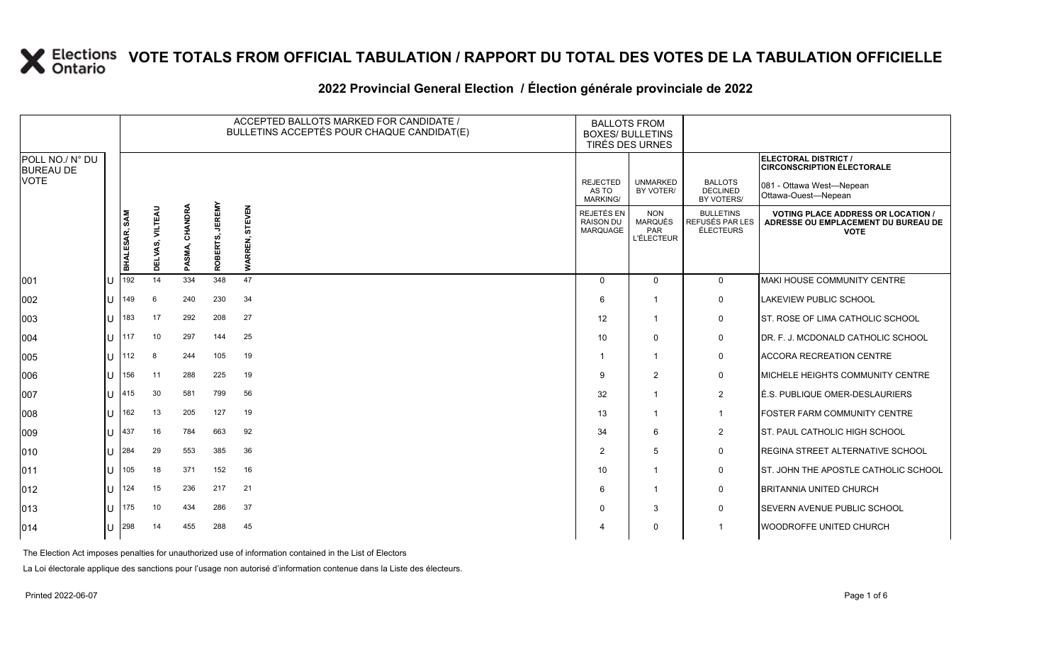#### **2022 Provincial General Election / Élection générale provinciale de 2022**

|                                     |              |               |                    |                         | ACCEPTED BALLOTS MARKED FOR CANDIDATE /<br>BULLETINS ACCEPTÉS POUR CHAQUE CANDIDAT(E) | <b>BALLOTS FROM</b><br><b>BOXES/ BULLETINS</b><br>TIRÉS DES URNES |                                                   |                                                   |                                                  |                                                                                                 |
|-------------------------------------|--------------|---------------|--------------------|-------------------------|---------------------------------------------------------------------------------------|-------------------------------------------------------------------|---------------------------------------------------|---------------------------------------------------|--------------------------------------------------|-------------------------------------------------------------------------------------------------|
| POLL NO./ N° DU<br><b>BUREAU DE</b> |              |               |                    |                         |                                                                                       |                                                                   |                                                   |                                                   |                                                  | <b>ELECTORAL DISTRICT /</b><br><b>CIRCONSCRIPTION ÉLECTORALE</b>                                |
| <b>VOTE</b>                         |              |               |                    |                         |                                                                                       |                                                                   | <b>REJECTED</b><br>AS TO<br>MARKING/              | <b>UNMARKED</b><br>BY VOTER/                      | <b>BALLOTS</b><br><b>DECLINED</b><br>BY VOTERS/  | 081 - Ottawa West-Nepean<br>Ottawa-Ouest-Nepean                                                 |
|                                     |              | BHALESAR, SAM | VILTEAU<br>DELVAS, | CHANDRA<br><b>PASMA</b> | <b>JEREMY</b><br>ROBERTS,                                                             | <b>STEVEN</b><br><b>WARREN,</b>                                   | REJETÉS EN<br><b>RAISON DU</b><br><b>MARQUAGE</b> | <b>NON</b><br>MARQUÉS<br>PAR<br><b>L'ÉLECTEUR</b> | <b>BULLETINS</b><br>REFUSÉS PAR LES<br>ÉLECTEURS | <b>VOTING PLACE ADDRESS OR LOCATION /</b><br>ADRESSE OU EMPLACEMENT DU BUREAU DE<br><b>VOTE</b> |
| 001                                 |              | 192           | 14                 | 334                     | 348                                                                                   | 47                                                                | $\Omega$                                          | $\Omega$                                          | $\mathbf 0$                                      | MAKI HOUSE COMMUNITY CENTRE                                                                     |
| 002                                 |              | 149           | 6                  | 240                     | 230                                                                                   | 34                                                                | 6                                                 | -1                                                | 0                                                | LAKEVIEW PUBLIC SCHOOL                                                                          |
| 003                                 |              | 183           | 17                 | 292                     | 208                                                                                   | 27                                                                | 12                                                | $\mathbf 1$                                       | 0                                                | ST. ROSE OF LIMA CATHOLIC SCHOOL                                                                |
| 004                                 |              | 117           | 10                 | 297                     | 144                                                                                   | 25                                                                | 10                                                | $\Omega$                                          | $\mathbf 0$                                      | DR. F. J. MCDONALD CATHOLIC SCHOOL                                                              |
| 005                                 |              | 112           | 8                  | 244                     | 105                                                                                   | 19                                                                |                                                   | -1                                                | 0                                                | ACCORA RECREATION CENTRE                                                                        |
| 006                                 |              | 156           | 11                 | 288                     | 225                                                                                   | 19                                                                | 9                                                 | $\overline{2}$                                    | 0                                                | MICHELE HEIGHTS COMMUNITY CENTRE                                                                |
| 007                                 |              | 415           | 30                 | 581                     | 799                                                                                   | 56                                                                | 32                                                | -1                                                | 2                                                | É.S. PUBLIQUE OMER-DESLAURIERS                                                                  |
| 008                                 |              | 162           | 13                 | 205                     | 127                                                                                   | 19                                                                | 13                                                | -1                                                | $\mathbf{1}$                                     | <b>FOSTER FARM COMMUNITY CENTRE</b>                                                             |
| 009                                 |              | 437           | 16                 | 784                     | 663                                                                                   | 92                                                                | 34                                                | 6                                                 | $\overline{2}$                                   | ST. PAUL CATHOLIC HIGH SCHOOL                                                                   |
| 010                                 |              | 284           | 29                 | 553                     | 385                                                                                   | 36                                                                | $\overline{2}$                                    | 5                                                 | 0                                                | REGINA STREET ALTERNATIVE SCHOOL                                                                |
| 011                                 |              | 105           | 18                 | 371                     | 152                                                                                   | 16                                                                | 10                                                | -1                                                | 0                                                | ST. JOHN THE APOSTLE CATHOLIC SCHOOL                                                            |
| 012                                 |              | 124           | 15                 | 236                     | 217                                                                                   | 21                                                                | 6                                                 | -1                                                | 0                                                | <b>BRITANNIA UNITED CHURCH</b>                                                                  |
| 013                                 |              | 175           | 10                 | 434                     | 286                                                                                   | 37                                                                | $\Omega$                                          | 3                                                 | $\mathbf 0$                                      | SEVERN AVENUE PUBLIC SCHOOL                                                                     |
| 014                                 | $\mathbf{U}$ | 298           | 14                 | 455                     | 288                                                                                   | 45                                                                | 4                                                 | $\Omega$                                          | 1                                                | WOODROFFE UNITED CHURCH                                                                         |

The Election Act imposes penalties for unauthorized use of information contained in the List of Electors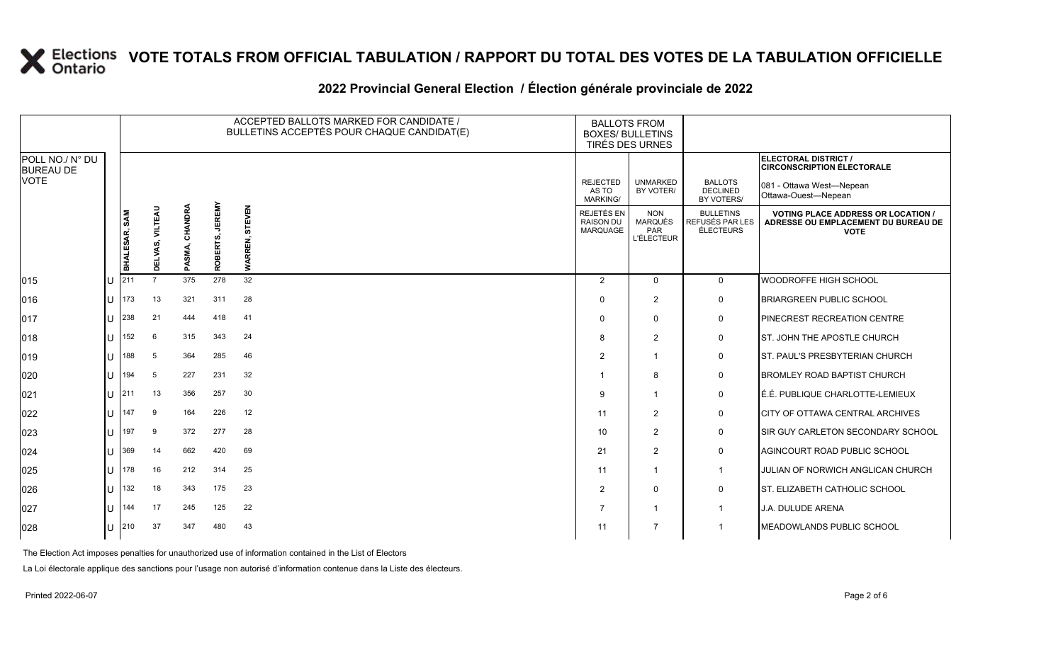### **2022 Provincial General Election / Élection générale provinciale de 2022**

|                                     |              |               |                 |                         |                           | ACCEPTED BALLOTS MARKED FOR CANDIDATE /<br>BULLETINS ACCEPTÉS POUR CHAQUE CANDIDAT(E) | <b>BALLOTS FROM</b><br><b>BOXES/ BULLETINS</b><br>TIRÉS DES URNES |                                                          |                                                  |                                                                                                 |
|-------------------------------------|--------------|---------------|-----------------|-------------------------|---------------------------|---------------------------------------------------------------------------------------|-------------------------------------------------------------------|----------------------------------------------------------|--------------------------------------------------|-------------------------------------------------------------------------------------------------|
| POLL NO./ N° DU<br><b>BUREAU DE</b> |              |               |                 |                         |                           |                                                                                       |                                                                   |                                                          |                                                  | ELECTORAL DISTRICT /<br><b>CIRCONSCRIPTION ÉLECTORALE</b>                                       |
| VOTE                                |              |               |                 |                         |                           |                                                                                       | <b>REJECTED</b><br>AS TO<br><b>MARKING/</b>                       | <b>UNMARKED</b><br>BY VOTER/                             | <b>BALLOTS</b><br><b>DECLINED</b><br>BY VOTERS/  | 081 - Ottawa West-Nepean<br>Ottawa-Ouest-Nepean                                                 |
|                                     |              | BHALESAR, SAM | DELVAS, VILTEAU | CHANDRA<br><b>PASMA</b> | <b>JEREMY</b><br>ROBERTS, | EVEN<br>듮<br>REN,<br><b>WARI</b>                                                      | REJETÉS EN<br><b>RAISON DU</b><br>MARQUAGE                        | <b>NON</b><br><b>MARQUÉS</b><br>PAR<br><b>L'ÉLECTEUR</b> | <b>BULLETINS</b><br>REFUSÉS PAR LES<br>ÉLECTEURS | <b>VOTING PLACE ADDRESS OR LOCATION /</b><br>ADRESSE OU EMPLACEMENT DU BUREAU DE<br><b>VOTE</b> |
| 015                                 |              | 211           | $\overline{7}$  | 375                     | 278                       | 32                                                                                    | 2                                                                 | $\Omega$                                                 | $\mathbf 0$                                      | WOODROFFE HIGH SCHOOL                                                                           |
| 016                                 |              | 173           | 13              | 321                     | 311                       | 28                                                                                    | $\mathbf{0}$                                                      | 2                                                        | $\mathbf 0$                                      | <b>BRIARGREEN PUBLIC SCHOOL</b>                                                                 |
| 017                                 |              | 238           | 21              | 444                     | 418                       | 41                                                                                    | $\Omega$                                                          | $\Omega$                                                 | $\mathbf 0$                                      | <b>PINECREST RECREATION CENTRE</b>                                                              |
| 018                                 |              | 152           | 6               | 315                     | 343                       | 24                                                                                    | 8                                                                 | 2                                                        | $\mathsf{O}$                                     | ST. JOHN THE APOSTLE CHURCH                                                                     |
| 019                                 |              | 188           | 5               | 364                     | 285                       | 46                                                                                    | 2                                                                 | $\mathbf{1}$                                             | $\mathbf 0$                                      | <b>IST. PAUL'S PRESBYTERIAN CHURCH</b>                                                          |
| 020                                 |              | 194           | 5               | 227                     | 231                       | 32                                                                                    | -1                                                                | 8                                                        | $\mathsf{O}$                                     | <b>BROMLEY ROAD BAPTIST CHURCH</b>                                                              |
| 021                                 | $\mathbf{H}$ | 211           | 13              | 356                     | 257                       | 30                                                                                    | 9                                                                 | $\overline{1}$                                           | $\mathsf{O}$                                     | É.É. PUBLIQUE CHARLOTTE-LEMIEUX                                                                 |
| 022                                 |              | 147           | 9               | 164                     | 226                       | 12                                                                                    | 11                                                                | 2                                                        | $\mathbf 0$                                      | CITY OF OTTAWA CENTRAL ARCHIVES                                                                 |
| 023                                 |              | 197           | 9               | 372                     | 277                       | 28                                                                                    | 10                                                                | 2                                                        | $\mathsf{O}$                                     | <b>SIR GUY CARLETON SECONDARY SCHOOL</b>                                                        |
| 024                                 |              | 369           | 14              | 662                     | 420                       | 69                                                                                    | 21                                                                | 2                                                        | $\mathbf 0$                                      | AGINCOURT ROAD PUBLIC SCHOOL                                                                    |
| 025                                 |              | 178           | 16              | 212                     | 314                       | 25                                                                                    | 11                                                                | $\mathbf{1}$                                             | $\mathbf{1}$                                     | JULIAN OF NORWICH ANGLICAN CHURCH                                                               |
| 026                                 |              | 132           | 18              | 343                     | 175                       | 23                                                                                    | 2                                                                 | $\Omega$                                                 | $\mathsf{O}$                                     | ST. ELIZABETH CATHOLIC SCHOOL                                                                   |
| 027                                 |              | 144           | 17              | 245                     | 125                       | 22                                                                                    | 7                                                                 | $\mathbf{1}$                                             | $\mathbf{1}$                                     | <b>J.A. DULUDE ARENA</b>                                                                        |
| 028                                 | $\mathbf{H}$ | 210           | 37              | 347                     | 480                       | 43                                                                                    | 11                                                                | $\overline{7}$                                           | $\mathbf 1$                                      | MEADOWLANDS PUBLIC SCHOOL                                                                       |

The Election Act imposes penalties for unauthorized use of information contained in the List of Electors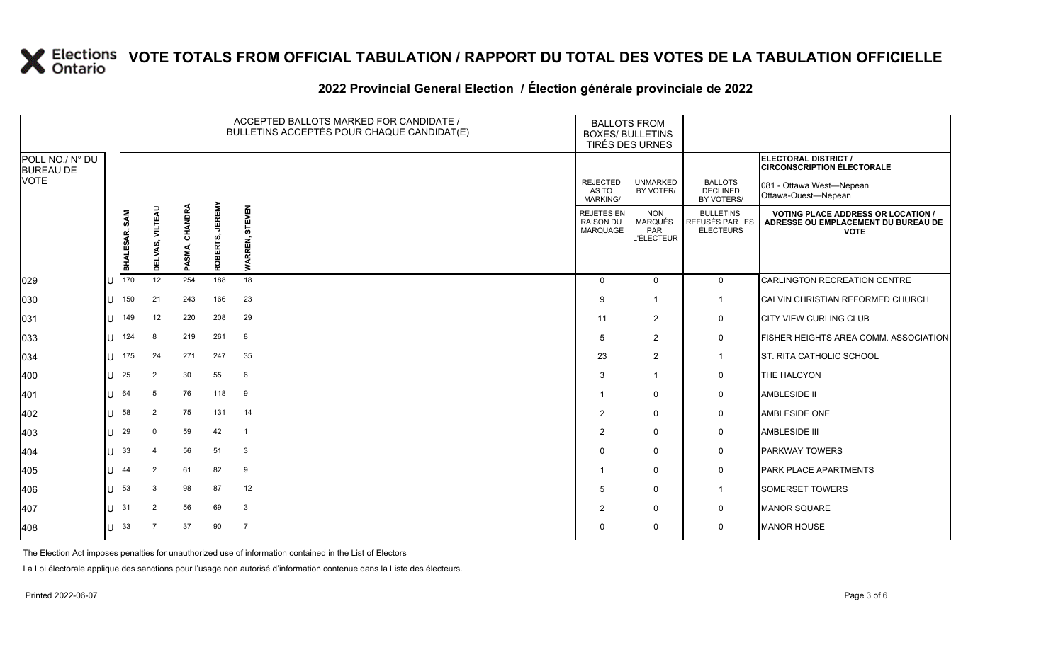### **2022 Provincial General Election / Élection générale provinciale de 2022**

|                                     |     |               |                 |                |                           | ACCEPTED BALLOTS MARKED FOR CANDIDATE /<br>BULLETINS ACCEPTÉS POUR CHAQUE CANDIDAT(E) | <b>BALLOTS FROM</b><br><b>BOXES/ BULLETINS</b><br>TIRÉS DES URNES |                                                   |                                                  |                                                                                                 |
|-------------------------------------|-----|---------------|-----------------|----------------|---------------------------|---------------------------------------------------------------------------------------|-------------------------------------------------------------------|---------------------------------------------------|--------------------------------------------------|-------------------------------------------------------------------------------------------------|
| POLL NO./ N° DU<br><b>BUREAU DE</b> |     |               |                 |                |                           |                                                                                       |                                                                   |                                                   |                                                  | <b>ELECTORAL DISTRICT /</b><br><b>CIRCONSCRIPTION ÉLECTORALE</b>                                |
| <b>VOTE</b>                         |     |               |                 |                |                           |                                                                                       | <b>REJECTED</b><br>AS TO<br>MARKING/                              | <b>UNMARKED</b><br>BY VOTER/                      | <b>BALLOTS</b><br><b>DECLINED</b><br>BY VOTERS/  | 081 - Ottawa West-Nepean<br>Ottawa-Ouest-Nepean                                                 |
|                                     |     | BHALESAR, SAM | DELVAS, VILTEAU | PASMA, CHANDRA | <b>JEREMY</b><br>ROBERTS, | EVEN<br>5<br>REN,<br><b>WARI</b>                                                      | REJETÉS EN<br><b>RAISON DU</b><br>MARQUAGE                        | <b>NON</b><br>MARQUÉS<br>PAR<br><b>L'ÉLECTEUR</b> | <b>BULLETINS</b><br>REFUSÉS PAR LES<br>ÉLECTEURS | <b>VOTING PLACE ADDRESS OR LOCATION /</b><br>ADRESSE OU EMPLACEMENT DU BUREAU DE<br><b>VOTE</b> |
| 029                                 |     | 170           | 12              | 254            | 188                       | 18                                                                                    | $\Omega$                                                          | $\mathbf 0$                                       | $\mathbf{0}$                                     | CARLINGTON RECREATION CENTRE                                                                    |
| 030                                 | Ш   | 150           | 21              | 243            | 166                       | 23                                                                                    | 9                                                                 | -1                                                | $\mathbf{1}$                                     | CALVIN CHRISTIAN REFORMED CHURCH                                                                |
| 031                                 |     | 149           | 12              | 220            | 208                       | 29                                                                                    | 11                                                                | $\overline{2}$                                    | 0                                                | CITY VIEW CURLING CLUB                                                                          |
| 033                                 | ΙU  | 124           | 8               | 219            | 261                       | 8                                                                                     | 5                                                                 | 2                                                 | $\mathbf 0$                                      | FISHER HEIGHTS AREA COMM. ASSOCIATION                                                           |
| 034                                 | ΙU  | 175           | 24              | 271            | 247                       | 35                                                                                    | 23                                                                | 2                                                 | $\mathbf{1}$                                     | ST. RITA CATHOLIC SCHOOL                                                                        |
| 400                                 | Ш   | 25            | 2               | 30             | 55                        | 6                                                                                     | 3                                                                 | $\mathbf 1$                                       | 0                                                | THE HALCYON                                                                                     |
| 401                                 |     | 64            | 5               | 76             | 118                       | 9                                                                                     |                                                                   | $\mathbf 0$                                       | $\mathbf 0$                                      | <b>AMBLESIDE II</b>                                                                             |
| 402                                 | Ш   | 58            | 2               | 75             | 131                       | 14                                                                                    | $\overline{2}$                                                    | $\mathbf 0$                                       | 0                                                | AMBLESIDE ONE                                                                                   |
| 403                                 | Ш   | 29            | $\Omega$        | 59             | 42                        | $\overline{1}$                                                                        | $\overline{2}$                                                    | $\mathbf 0$                                       | 0                                                | AMBLESIDE III                                                                                   |
| 404                                 | ΙU  | 33            | 4               | 56             | 51                        | $\mathbf{3}$                                                                          | $\Omega$                                                          | $\mathbf 0$                                       | 0                                                | <b>PARKWAY TOWERS</b>                                                                           |
| 405                                 | ΙU  | 44            | 2               | 61             | 82                        | 9                                                                                     |                                                                   | $\mathbf 0$                                       | 0                                                | PARK PLACE APARTMENTS                                                                           |
| 406                                 | ΙU  | 53            | 3               | 98             | 87                        | 12                                                                                    | 5                                                                 | $\mathbf 0$                                       | $\mathbf{1}$                                     | SOMERSET TOWERS                                                                                 |
| 407                                 | ΙU  | 31            | 2               | 56             | 69                        | $\mathbf{3}$                                                                          | $\overline{2}$                                                    | $\mathbf 0$                                       | 0                                                | <b>MANOR SQUARE</b>                                                                             |
| 408                                 | IU. | 33            |                 | 37             | 90                        | $\overline{7}$                                                                        | 0                                                                 | 0                                                 | 0                                                | <b>MANOR HOUSE</b>                                                                              |

The Election Act imposes penalties for unauthorized use of information contained in the List of Electors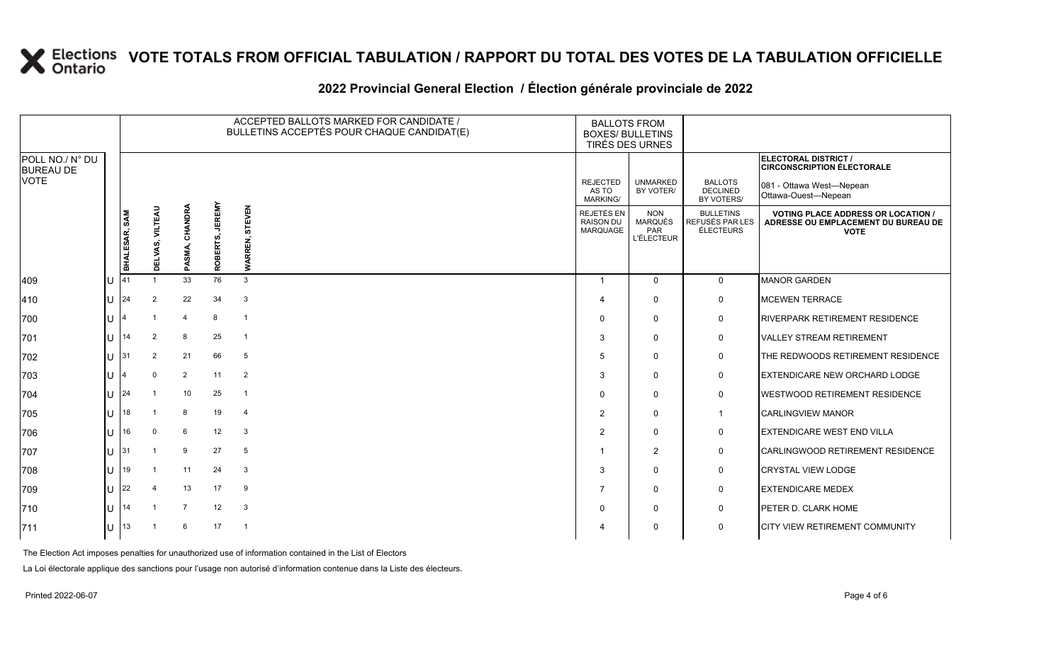### **2022 Provincial General Election / Élection générale provinciale de 2022**

|                                     |              |               |                 |                |                           | ACCEPTED BALLOTS MARKED FOR CANDIDATE /<br>BULLETINS ACCEPTÉS POUR CHAQUE CANDIDAT(E) | <b>BALLOTS FROM</b><br><b>BOXES/ BULLETINS</b><br>TIRÉS DES URNES |                                                          |                                                  |                                                                                                 |
|-------------------------------------|--------------|---------------|-----------------|----------------|---------------------------|---------------------------------------------------------------------------------------|-------------------------------------------------------------------|----------------------------------------------------------|--------------------------------------------------|-------------------------------------------------------------------------------------------------|
| POLL NO./ N° DU<br><b>BUREAU DE</b> |              |               |                 |                |                           |                                                                                       |                                                                   |                                                          |                                                  | ELECTORAL DISTRICT /<br><b>CIRCONSCRIPTION ÉLECTORALE</b>                                       |
| <b>VOTE</b>                         |              |               |                 |                |                           |                                                                                       | <b>REJECTED</b><br>AS TO<br>MARKING/                              | <b>UNMARKED</b><br>BY VOTER/                             | <b>BALLOTS</b><br><b>DECLINED</b><br>BY VOTERS/  | 081 - Ottawa West-Nepean<br>Ottawa-Ouest-Nepean                                                 |
|                                     |              | BHALESAR, SAM | DELVAS, VILTEAU | PASMA, CHANDRA | <b>JEREMY</b><br>ROBERTS, | EVEN<br>5<br><b>WARF</b>                                                              | REJETÉS EN<br><b>RAISON DU</b><br>MARQUAGE                        | <b>NON</b><br><b>MARQUÉS</b><br>PAR<br><b>L'ÉLECTEUR</b> | <b>BULLETINS</b><br>REFUSÉS PAR LES<br>ÉLECTEURS | <b>VOTING PLACE ADDRESS OR LOCATION /</b><br>ADRESSE OU EMPLACEMENT DU BUREAU DE<br><b>VOTE</b> |
| 409                                 |              | 41            |                 | 33             | 76                        | 3                                                                                     | $\mathbf{1}$                                                      | $\Omega$                                                 | $\overline{0}$                                   | <b>MANOR GARDEN</b>                                                                             |
| 410                                 | $\mathbf{H}$ | 24            | 2               | 22             | 34                        | $\mathbf{3}$                                                                          | 4                                                                 | $\Omega$                                                 | 0                                                | <b>MCEWEN TERRACE</b>                                                                           |
| 700                                 |              |               |                 | $\overline{4}$ | 8                         | $\overline{1}$                                                                        | $\Omega$                                                          | $\Omega$                                                 | 0                                                | <b>RIVERPARK RETIREMENT RESIDENCE</b>                                                           |
| 701                                 |              | 14            | 2               | 8              | 25                        | $\overline{1}$                                                                        | 3                                                                 | $\mathbf{0}$                                             | $\mathbf 0$                                      | <b>VALLEY STREAM RETIREMENT</b>                                                                 |
| 702                                 |              | 31            | 2               | 21             | 66                        | 5                                                                                     | 5                                                                 | $\Omega$                                                 | 0                                                | THE REDWOODS RETIREMENT RESIDENCE                                                               |
| 703                                 |              |               | $\mathbf 0$     | $\overline{2}$ | 11                        | 2                                                                                     | 3                                                                 | $\mathbf{0}$                                             | $\mathbf 0$                                      | <b>EXTENDICARE NEW ORCHARD LODGE</b>                                                            |
| 704                                 |              | 24            |                 | 10             | 25                        | $\overline{1}$                                                                        | $\Omega$                                                          | $\mathbf{0}$                                             | $\mathbf 0$                                      | <b>WESTWOOD RETIREMENT RESIDENCE</b>                                                            |
| 705                                 |              | 18            |                 | 8              | 19                        | $\overline{4}$                                                                        | 2                                                                 | $\mathbf{0}$                                             | $\mathbf{1}$                                     | <b>CARLINGVIEW MANOR</b>                                                                        |
| 706                                 |              | 16            | $\Omega$        | 6              | 12                        | 3                                                                                     | $\overline{2}$                                                    | $\Omega$                                                 | $\mathsf{O}$                                     | <b>EXTENDICARE WEST END VILLA</b>                                                               |
| 707                                 |              | 31            |                 | 9              | 27                        | 5                                                                                     |                                                                   | 2                                                        | $\mathsf{O}$                                     | CARLINGWOOD RETIREMENT RESIDENCE                                                                |
| 708                                 |              | 19            |                 | 11             | 24                        | $\mathbf{3}$                                                                          | 3                                                                 | $\Omega$                                                 | 0                                                | <b>CRYSTAL VIEW LODGE</b>                                                                       |
| 709                                 |              | 22            | $\mathbf 4$     | 13             | 17                        | 9                                                                                     | 7                                                                 | $\Omega$                                                 | $\mathsf{O}$                                     | <b>EXTENDICARE MEDEX</b>                                                                        |
| 710                                 |              | 14            |                 | $\overline{7}$ | 12                        | $\mathbf{3}$                                                                          | $\Omega$                                                          | $\mathbf{0}$                                             | $\mathbf 0$                                      | PETER D. CLARK HOME                                                                             |
| 711                                 |              | 13            |                 | 6              | 17                        | $\overline{1}$                                                                        |                                                                   | $\Omega$                                                 | $\mathbf 0$                                      | <b>CITY VIEW RETIREMENT COMMUNITY</b>                                                           |

The Election Act imposes penalties for unauthorized use of information contained in the List of Electors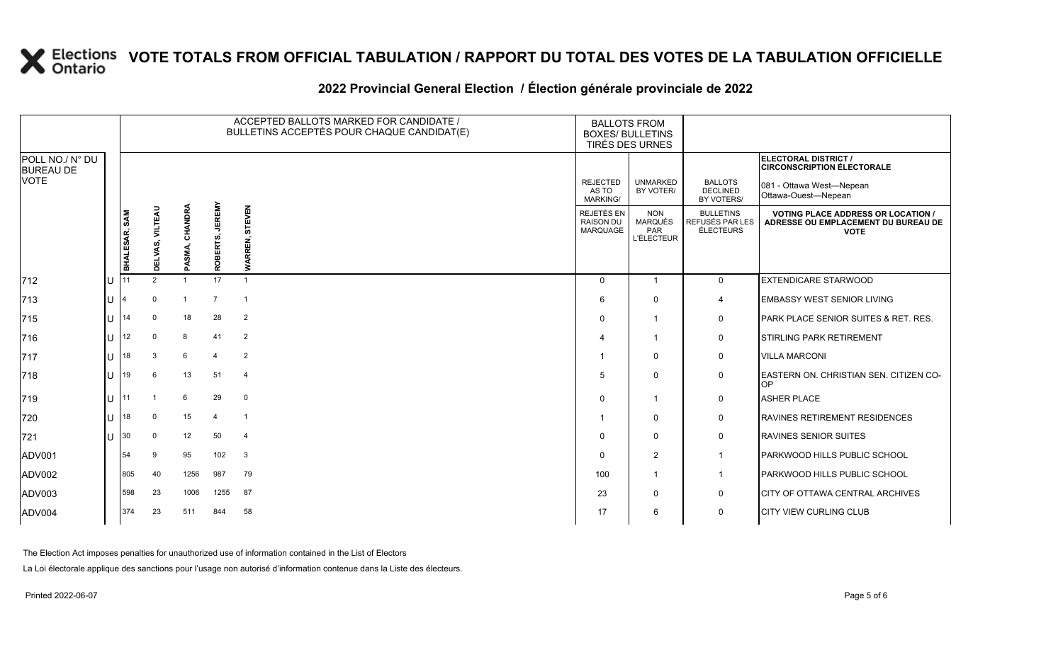#### **2022 Provincial General Election / Élection générale provinciale de 2022**

|                                     |     | ACCEPTED BALLOTS MARKED FOR CANDIDATE /<br>BULLETINS ACCEPTÉS POUR CHAQUE CANDIDAT(E) |                 |                |                 |                          | <b>BALLOTS FROM</b><br><b>BOXES/ BULLETINS</b><br>TIRÉS DES URNES |                                                          |                                                  |                                                                                                 |
|-------------------------------------|-----|---------------------------------------------------------------------------------------|-----------------|----------------|-----------------|--------------------------|-------------------------------------------------------------------|----------------------------------------------------------|--------------------------------------------------|-------------------------------------------------------------------------------------------------|
| POLL NO./ N° DU<br><b>BUREAU DE</b> |     |                                                                                       |                 |                |                 |                          |                                                                   |                                                          |                                                  | <b>ELECTORAL DISTRICT /</b><br><b>CIRCONSCRIPTION ÉLECTORALE</b>                                |
| <b>VOTE</b>                         |     |                                                                                       |                 |                |                 |                          | <b>REJECTED</b><br>AS TO<br><b>MARKING/</b>                       | <b>UNMARKED</b><br>BY VOTER/                             | <b>BALLOTS</b><br><b>DECLINED</b><br>BY VOTERS/  | 081 - Ottawa West—Nepean<br>Ottawa-Ouest-Nepean                                                 |
|                                     |     | BHALESAR, SAM                                                                         | DELVAS, VILTEAU | PASMA, CHANDRA | ROBERTS, JEREMY | STEVEN<br><b>WARREN,</b> | REJETÉS EN<br><b>RAISON DU</b><br>MARQUAGE                        | <b>NON</b><br><b>MARQUÉS</b><br>PAR<br><b>L'ÉLECTEUR</b> | <b>BULLETINS</b><br>REFUSÉS PAR LES<br>ÉLECTEURS | <b>VOTING PLACE ADDRESS OR LOCATION /</b><br>ADRESSE OU EMPLACEMENT DU BUREAU DE<br><b>VOTE</b> |
| $ 712$                              | Iυ  |                                                                                       | $\overline{2}$  |                | 17              | $\overline{1}$           | $\mathbf{0}$                                                      |                                                          | $\mathbf 0$                                      | <b>EXTENDICARE STARWOOD</b>                                                                     |
| 713                                 | lu  |                                                                                       | $\Omega$        |                | $\overline{7}$  | $\overline{1}$           | 6                                                                 | $\mathbf 0$                                              | 4                                                | <b>EMBASSY WEST SENIOR LIVING</b>                                                               |
| 715                                 | lu  | 14                                                                                    | $\mathbf 0$     | 18             | 28              | $\overline{2}$           | $\Omega$                                                          |                                                          | 0                                                | PARK PLACE SENIOR SUITES & RET. RES.                                                            |
| 716                                 | Iυ  | 12                                                                                    | $\Omega$        | 8              | 41              | 2                        |                                                                   |                                                          | 0                                                | <b>STIRLING PARK RETIREMENT</b>                                                                 |
| 717                                 | lu  | 18                                                                                    | 3               | 6              |                 | 2                        |                                                                   | $\mathbf 0$                                              | 0                                                | <b>VILLA MARCONI</b>                                                                            |
| 718                                 | lu  | 19                                                                                    | 6               | 13             | 51              | $\overline{4}$           | 5                                                                 | $\mathbf 0$                                              | 0                                                | EASTERN ON. CHRISTIAN SEN. CITIZEN CO-<br>OP                                                    |
| 719                                 | lu. | 11                                                                                    |                 | 6              | 29              | $\mathbf 0$              | $\Omega$                                                          | $\overline{1}$                                           | $\mathbf 0$                                      | <b>ASHER PLACE</b>                                                                              |
| 720                                 | lu. | 18                                                                                    | $\mathbf 0$     | 15             | $\mathbf 4$     | $\overline{1}$           |                                                                   | $\mathbf 0$                                              | 0                                                | <b>RAVINES RETIREMENT RESIDENCES</b>                                                            |
| 721                                 | Ιu  | 30                                                                                    | $\Omega$        | 12             | 50              | $\overline{4}$           | 0                                                                 | $\mathbf 0$                                              | 0                                                | <b>RAVINES SENIOR SUITES</b>                                                                    |
| ADV001                              |     | 54                                                                                    | 9               | 95             | 102             | $\mathbf{3}$             | $\Omega$                                                          | 2                                                        | $\mathbf{1}$                                     | PARKWOOD HILLS PUBLIC SCHOOL                                                                    |
| ADV002                              |     | 805                                                                                   | 40              | 1256           | 987             | 79                       | 100                                                               | 1                                                        | $\overline{1}$                                   | PARKWOOD HILLS PUBLIC SCHOOL                                                                    |
| ADV003                              |     | 598                                                                                   | 23              | 1006           | 1255            | 87                       | 23                                                                | $\mathbf 0$                                              | 0                                                | CITY OF OTTAWA CENTRAL ARCHIVES                                                                 |
| ADV004                              |     | 374                                                                                   | 23              | 511            | 844             | 58                       | 17                                                                | 6                                                        | $\mathbf 0$                                      | <b>CITY VIEW CURLING CLUB</b>                                                                   |

The Election Act imposes penalties for unauthorized use of information contained in the List of Electors